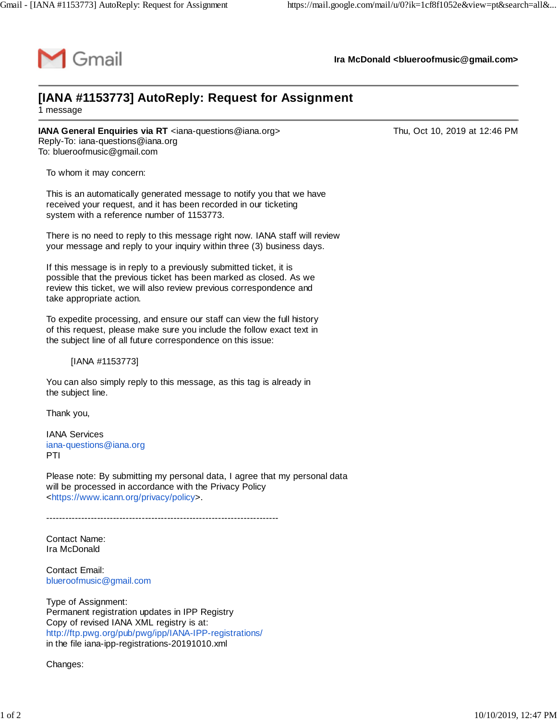

**Ira McDonald [<blueroofmusic@gmail.com>](mailto:blueroofmusic@gmail.com)**

## **[IANA #1153773] AutoReply: Request for Assignment**

1 message

**IANA General Enquiries via RT** <[iana-questions@iana.org](mailto:iana-questions@iana.org)> Thu, Oct 10, 2019 at 12:46 PM Reply-To: [iana-questions@iana.org](mailto:iana-questions@iana.org) To: [blueroofmusic@gmail.com](mailto:blueroofmusic@gmail.com)

To whom it may concern:

This is an automatically generated message to notify you that we have received your request, and it has been recorded in our ticketing system with a reference number of 1153773.

There is no need to reply to this message right now. IANA staff will review your message and reply to your inquiry within three (3) business days.

If this message is in reply to a previously submitted ticket, it is possible that the previous ticket has been marked as closed. As we review this ticket, we will also review previous correspondence and take appropriate action.

To expedite processing, and ensure our staff can view the full history of this request, please make sure you include the follow exact text in the subject line of all future correspondence on this issue:

[IANA #1153773]

You can also simply reply to this message, as this tag is already in the subject line.

Thank you,

IANA Services [iana-questions@iana.org](mailto:iana-questions@iana.org) PTI

Please note: By submitting my personal data, I agree that my personal data will be processed in accordance with the Privacy Policy <[https://www.icann.org/privacy/policy>](https://www.icann.org/privacy/policy).

-------------------------------------------------------------------------

Contact Name: Ira McDonald

Contact Email: [blueroofmusic@gmail.com](mailto:blueroofmusic@gmail.com)

Type of Assignment: Permanent registration updates in IPP Registry Copy of revised IANA XML registry is at: <http://ftp.pwg.org/pub/pwg/ipp/IANA-IPP-registrations/> in the file iana-ipp-registrations-20191010.xml

Changes: